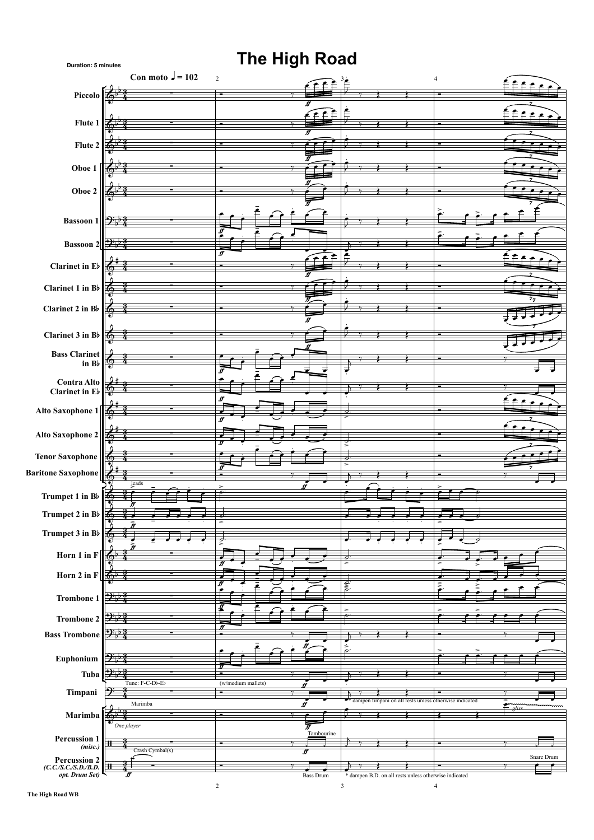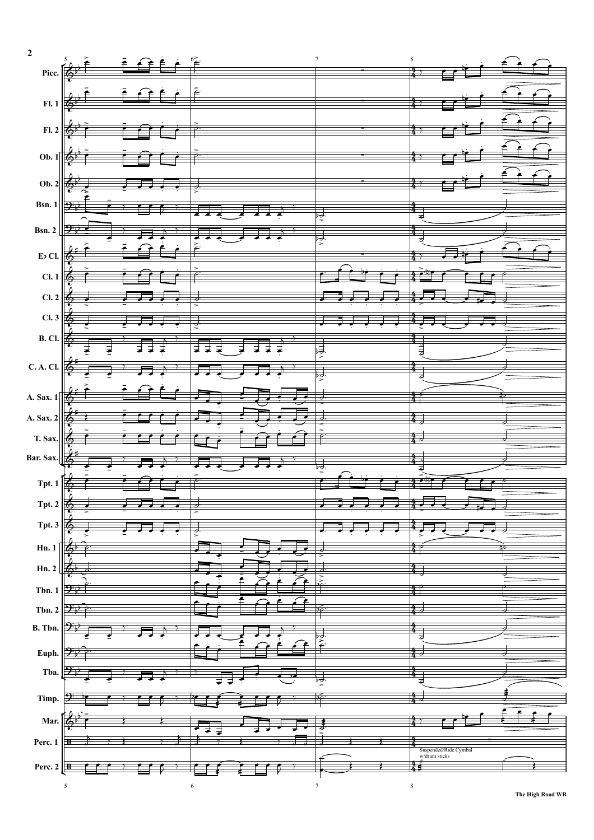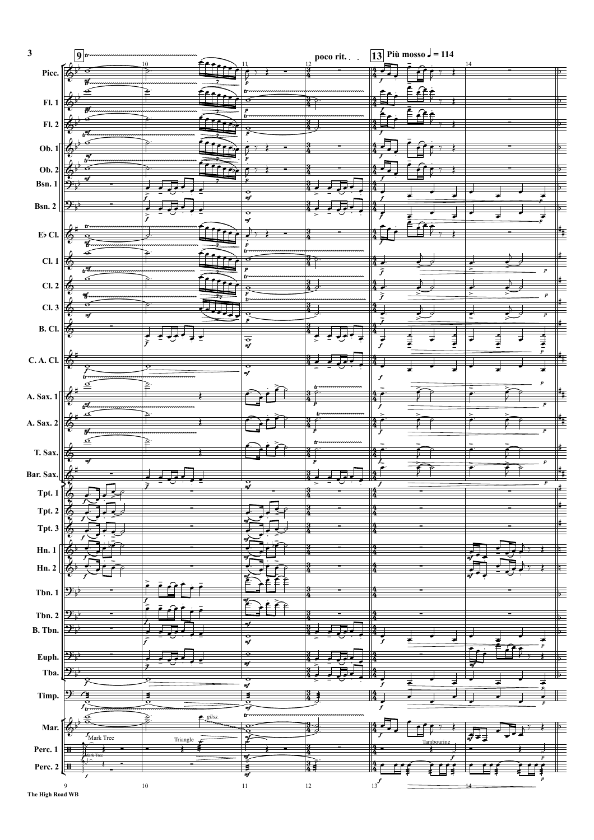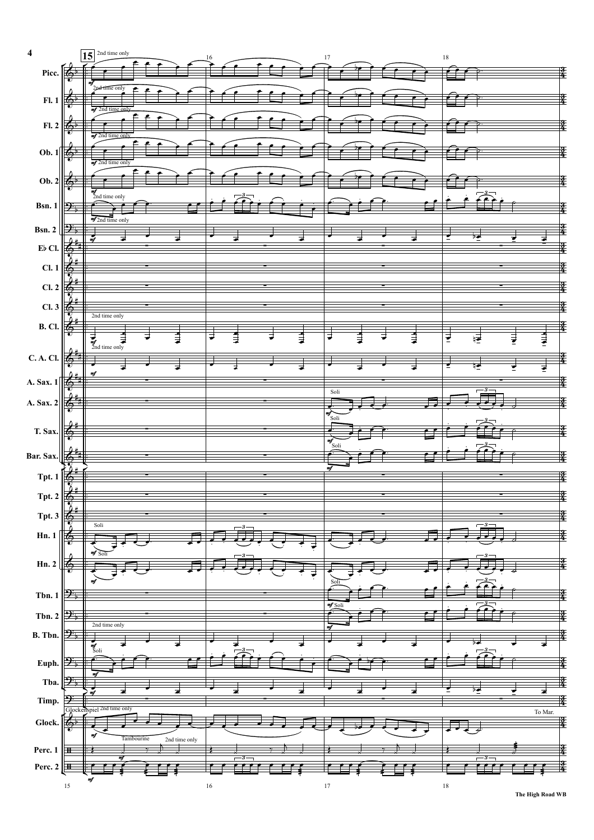

The High Road WB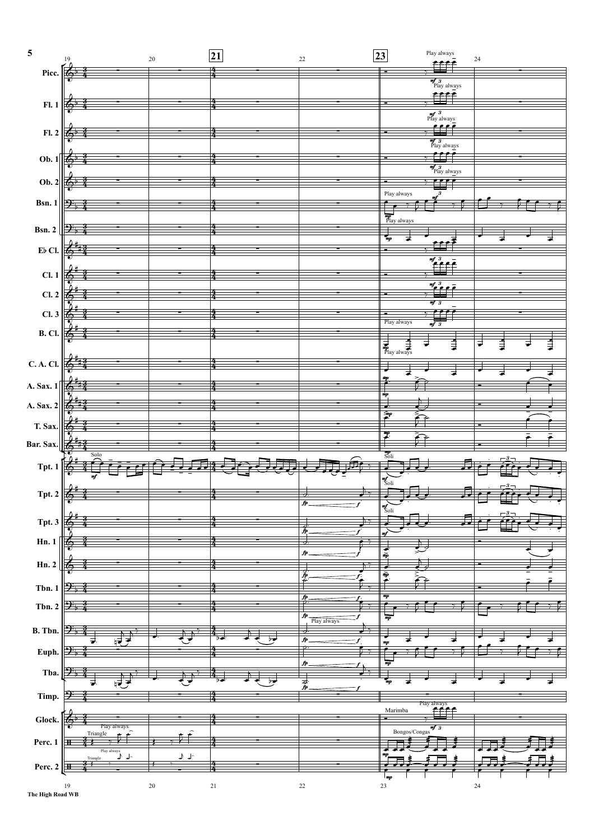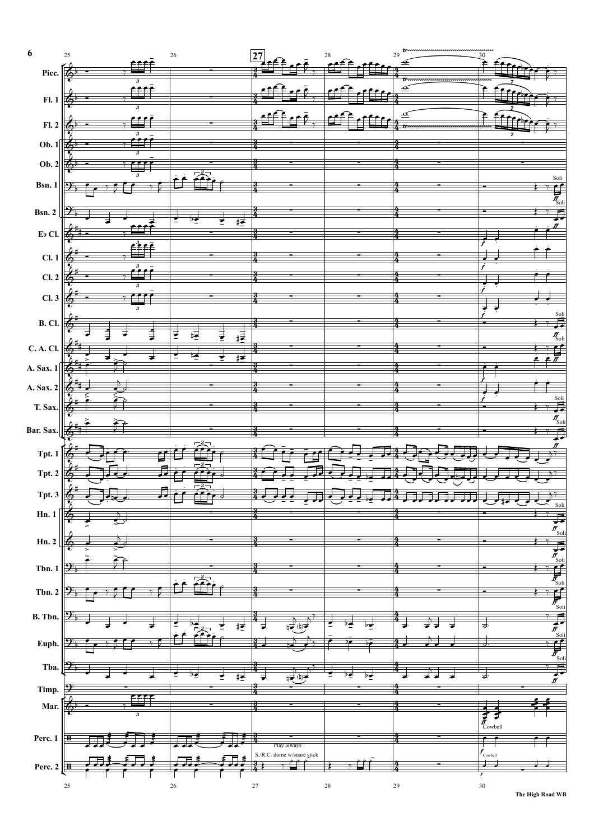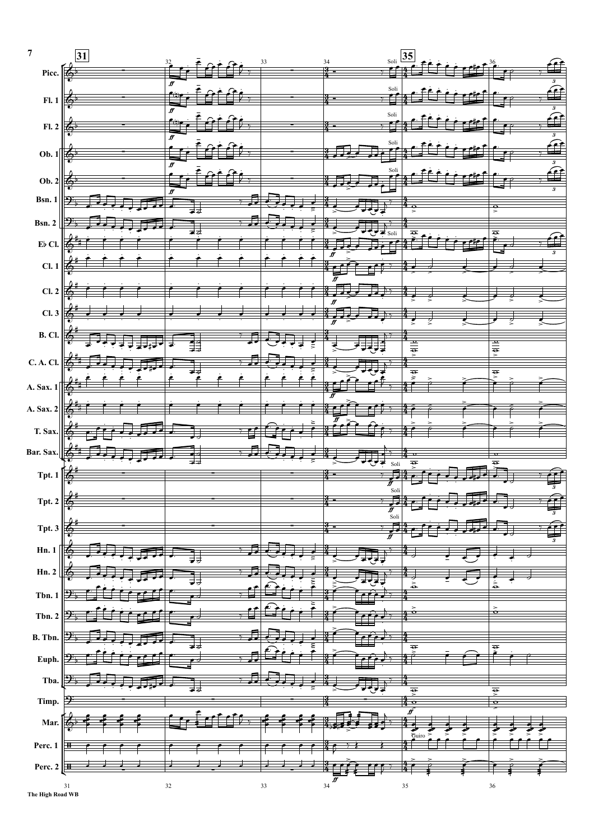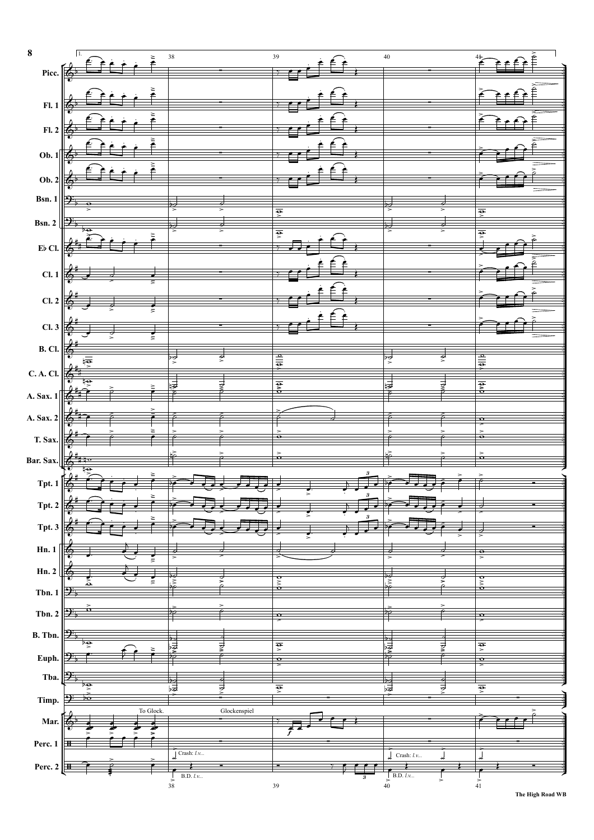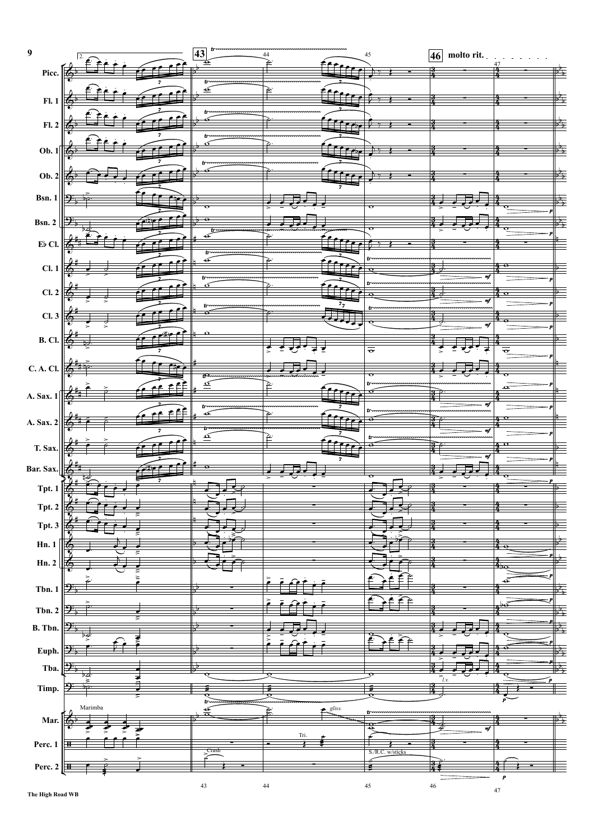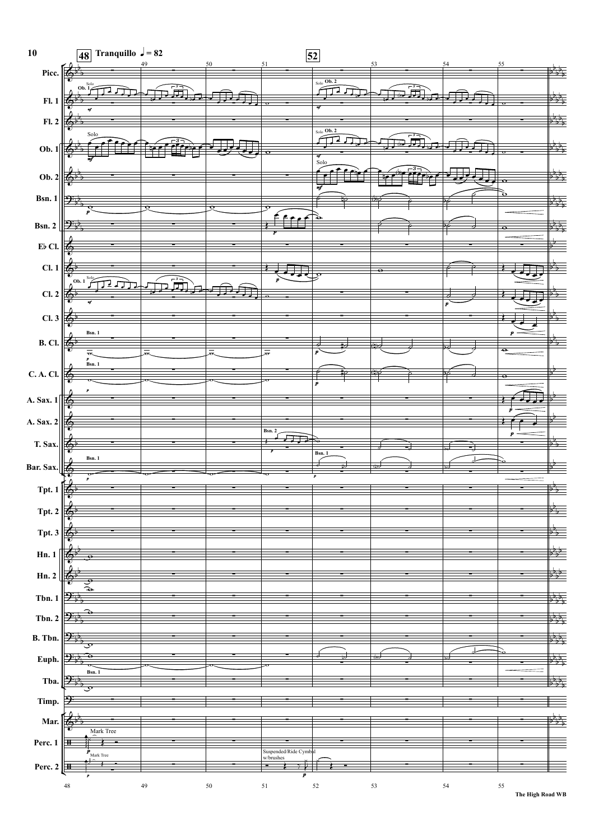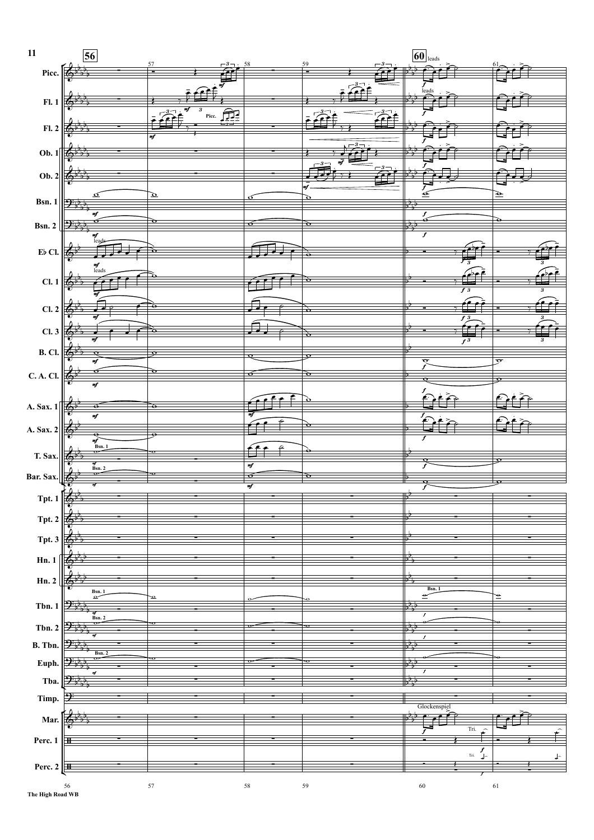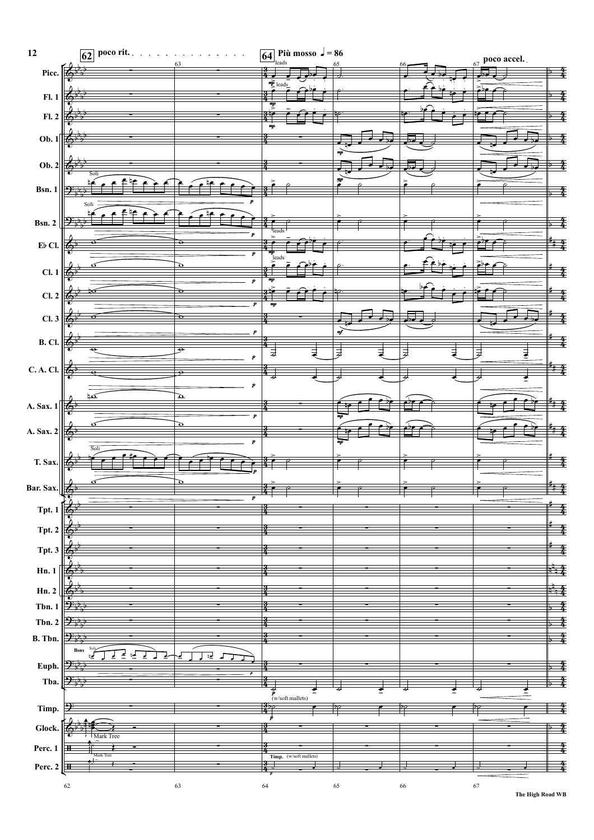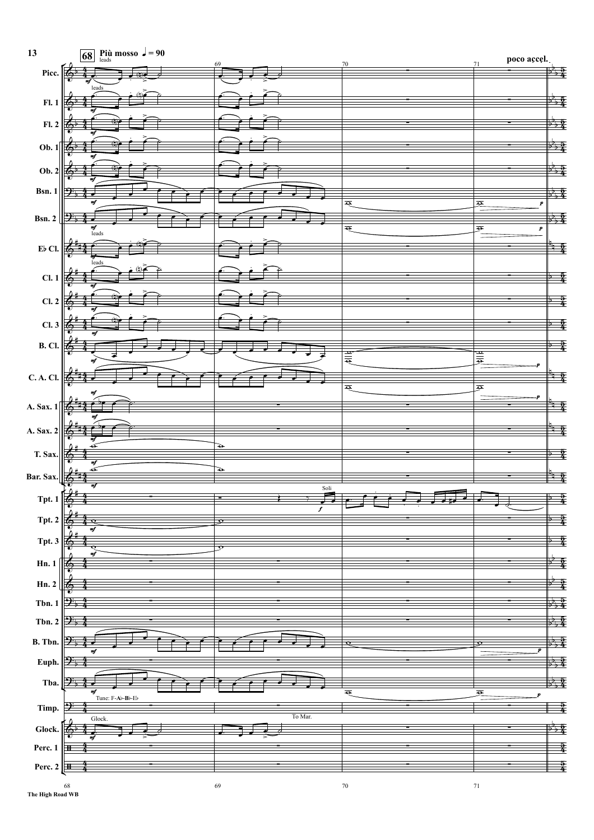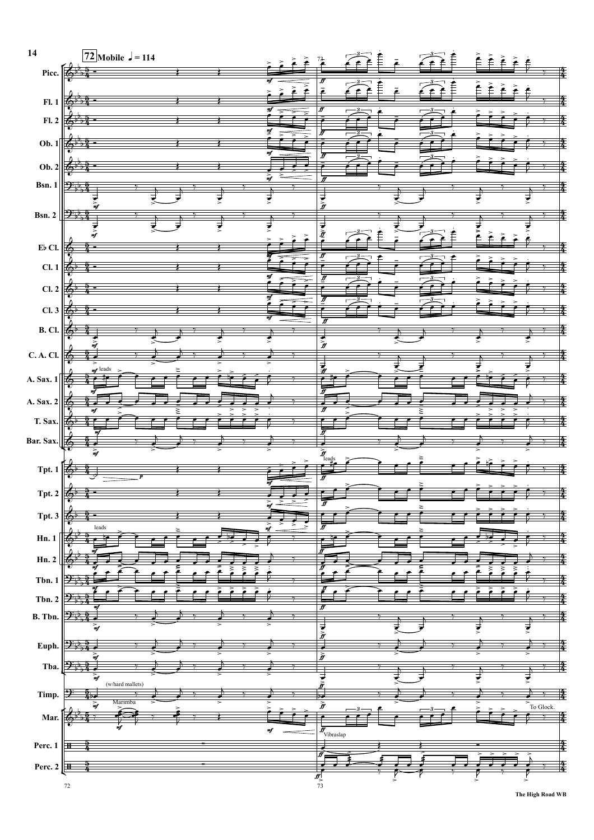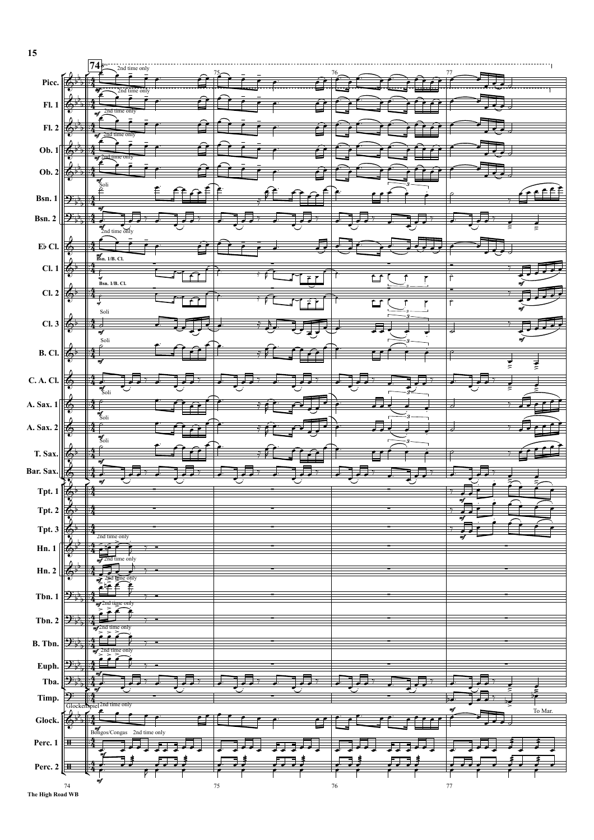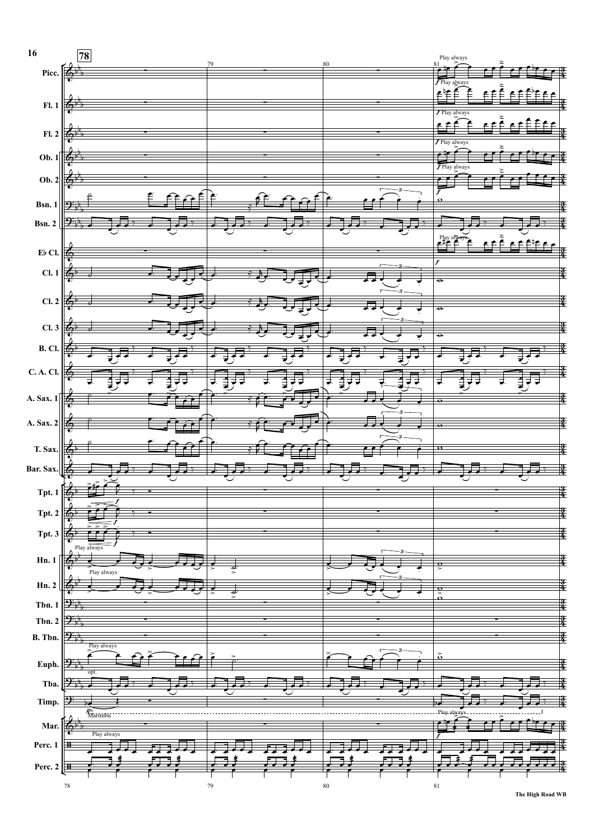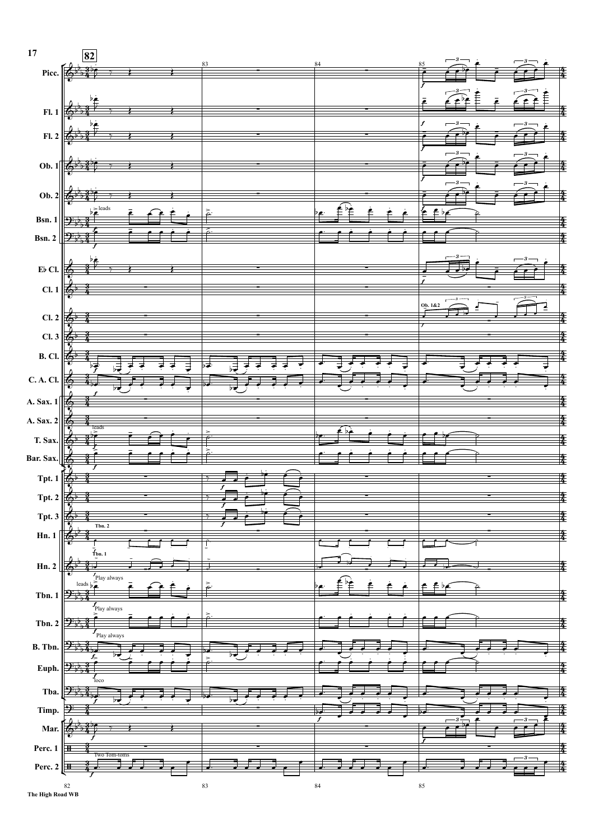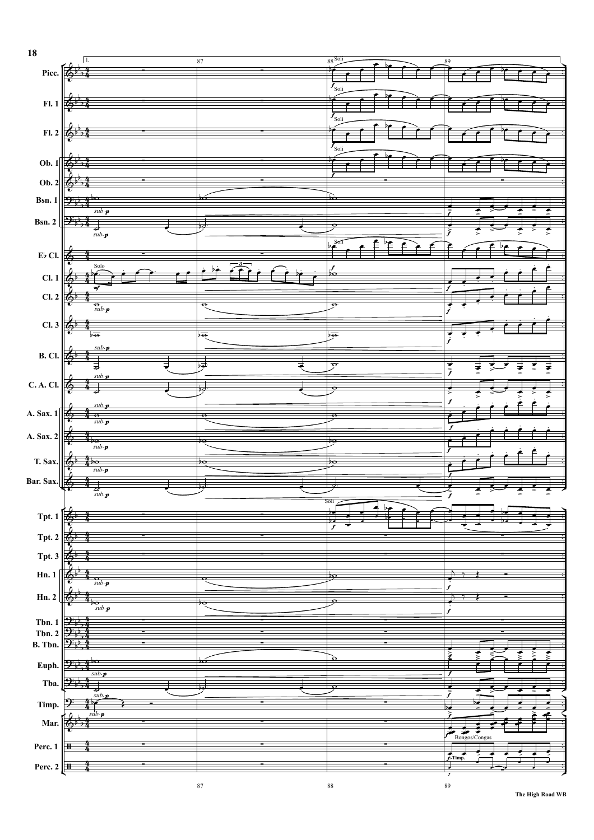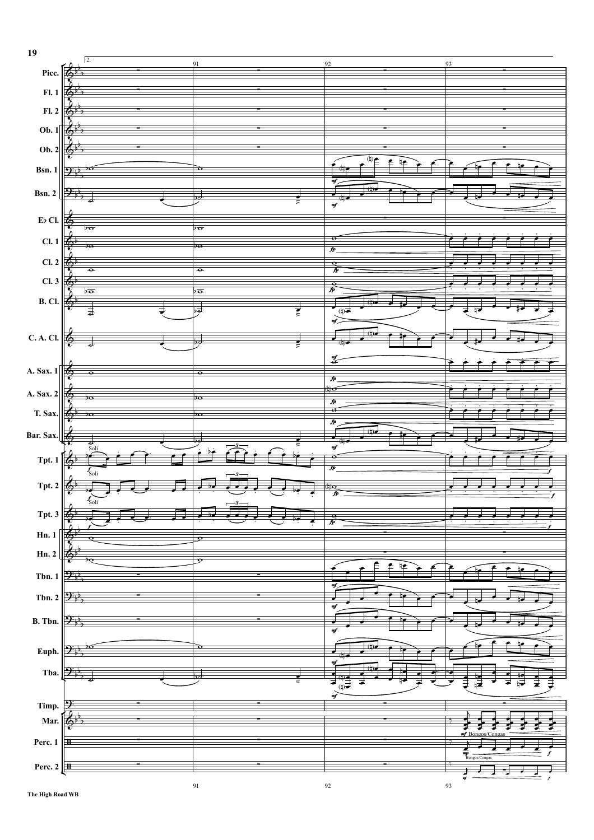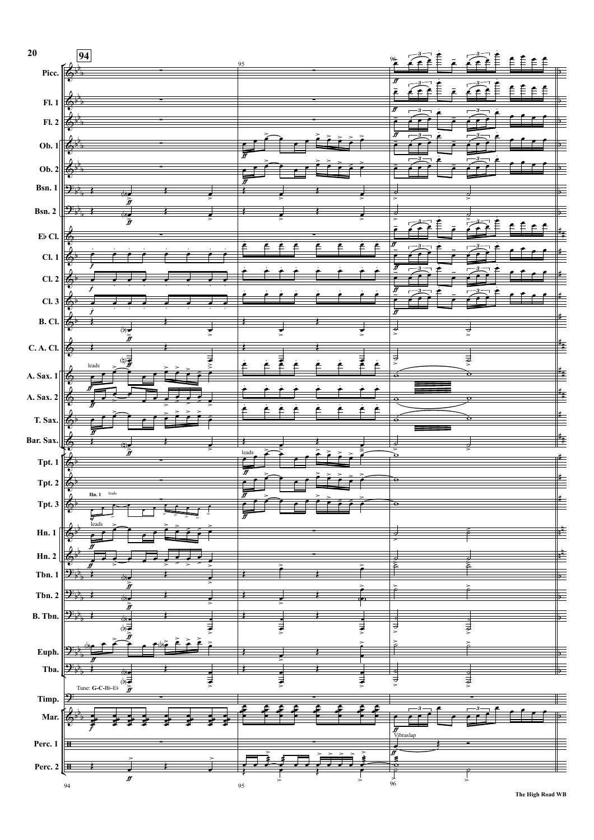